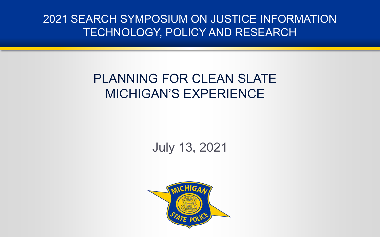2021 SEARCH SYMPOSIUM ON JUSTICE INFORMATION TECHNOLOGY, POLICY AND RESEARCH

## PLANNING FOR CLEAN SLATE MICHIGAN'S EXPERIENCE

July 13, 2021

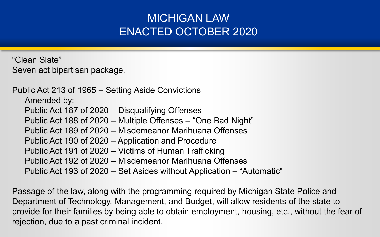### MICHIGAN LAW ENACTED OCTOBER 2020

"Clean Slate" Seven act bipartisan package.

Public Act 213 of 1965 – Setting Aside Convictions Amended by: Public Act 187 of 2020 – Disqualifying Offenses Public Act 188 of 2020 – Multiple Offenses – "One Bad Night" Public Act 189 of 2020 – Misdemeanor Marihuana Offenses Public Act 190 of 2020 – Application and Procedure Public Act 191 of 2020 – Victims of Human Trafficking Public Act 192 of 2020 – Misdemeanor Marihuana Offenses Public Act 193 of 2020 – Set Asides without Application – "Automatic"

Passage of the law, along with the programming required by Michigan State Police and Department of Technology, Management, and Budget, will allow residents of the state to provide for their families by being able to obtain employment, housing, etc., without the fear of rejection, due to a past criminal incident.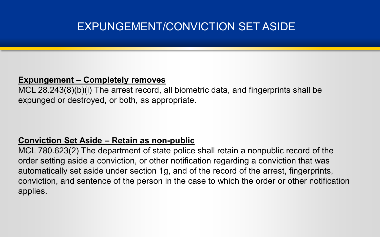### EXPUNGEMENT/CONVICTION SET ASIDE

#### **Expungement – Completely removes**

MCL 28.243(8)(b)(i) The arrest record, all biometric data, and fingerprints shall be expunged or destroyed, or both, as appropriate.

#### **Conviction Set Aside – Retain as non-public**

MCL 780.623(2) The department of state police shall retain a nonpublic record of the order setting aside a conviction, or other notification regarding a conviction that was automatically set aside under section 1g, and of the record of the arrest, fingerprints, conviction, and sentence of the person in the case to which the order or other notification applies.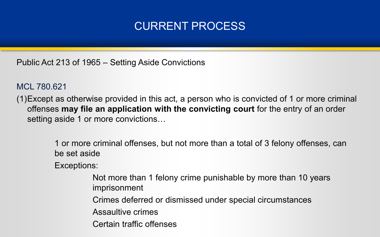### CURRENT PROCESS

Public Act 213 of 1965 – Setting Aside Convictions

MCL 780.621

(1)Except as otherwise provided in this act, a person who is convicted of 1 or more criminal offenses **may file an application with the convicting court** for the entry of an order setting aside 1 or more convictions...

> 1 or more criminal offenses, but not more than a total of 3 felony offenses, can be set aside

Exceptions:

Not more than 1 felony crime punishable by more than 10 years imprisonment

Crimes deferred or dismissed under special circumstances

Assaultive crimes

Certain traffic offenses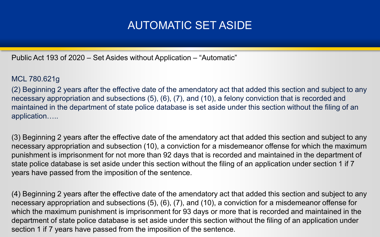### AUTOMATIC SET ASIDE

Public Act 193 of 2020 – Set Asides without Application – "Automatic"

#### MCL 780.621g

(2) Beginning 2 years after the effective date of the amendatory act that added this section and subject to any necessary appropriation and subsections (5), (6), (7), and (10), a felony conviction that is recorded and maintained in the department of state police database is set aside under this section without the filing of an application…..

(3) Beginning 2 years after the effective date of the amendatory act that added this section and subject to any necessary appropriation and subsection (10), a conviction for a misdemeanor offense for which the maximum punishment is imprisonment for not more than 92 days that is recorded and maintained in the department of state police database is set aside under this section without the filing of an application under section 1 if 7 years have passed from the imposition of the sentence.

(4) Beginning 2 years after the effective date of the amendatory act that added this section and subject to any necessary appropriation and subsections (5), (6), (7), and (10), a conviction for a misdemeanor offense for which the maximum punishment is imprisonment for 93 days or more that is recorded and maintained in the department of state police database is set aside under this section without the filing of an application under section 1 if 7 years have passed from the imposition of the sentence.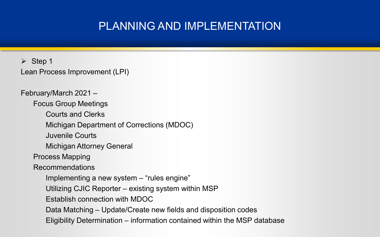➢ Step 1 Lean Process Improvement (LPI)

February/March 2021 – Focus Group Meetings Courts and Clerks Michigan Department of Corrections (MDOC) Juvenile Courts Michigan Attorney General Process Mapping Recommendations Implementing a new system – "rules engine" Utilizing CJIC Reporter – existing system within MSP Establish connection with MDOC Data Matching – Update/Create new fields and disposition codes Eligibility Determination – information contained within the MSP database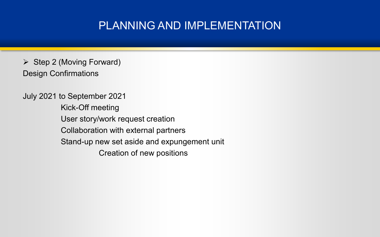$\triangleright$  Step 2 (Moving Forward) Design Confirmations

July 2021 to September 2021 Kick-Off meeting User story/work request creation Collaboration with external partners Stand-up new set aside and expungement unit Creation of new positions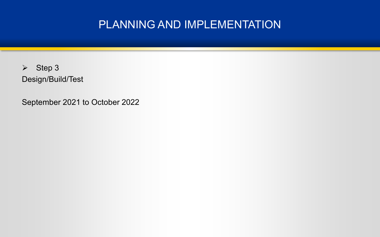➢ Step 3 Design/Build/Test

September 2021 to October 2022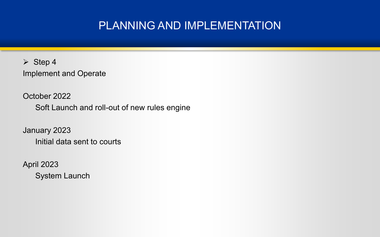➢ Step 4 Implement and Operate

October 2022 Soft Launch and roll-out of new rules engine

January 2023 Initial data sent to courts

April 2023 System Launch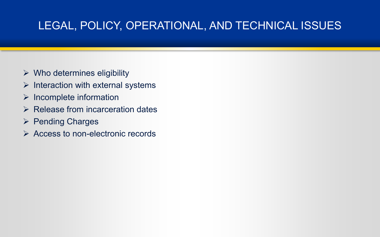### LEGAL, POLICY, OPERATIONAL, AND TECHNICAL ISSUES

- $\triangleright$  Who determines eligibility
- $\triangleright$  Interaction with external systems
- $\triangleright$  Incomplete information
- ➢ Release from incarceration dates
- ➢ Pending Charges
- ➢ Access to non-electronic records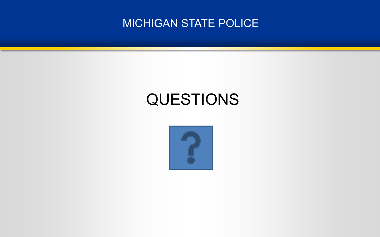

# QUESTIONS